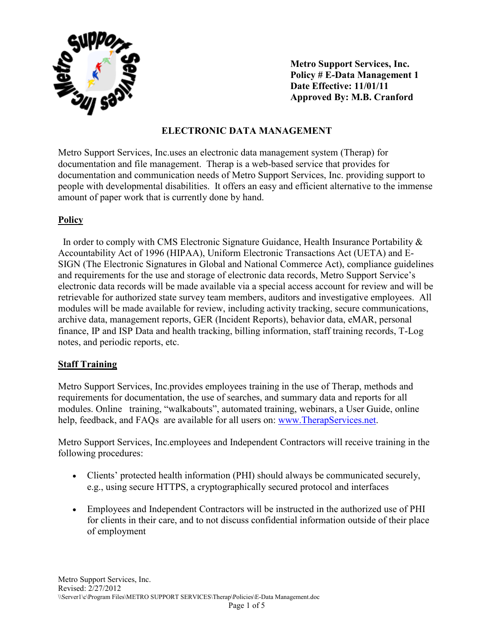

**Metro Support Services, Inc. Policy # E-Data Management 1 Date Effective: 11/01/11 Approved By: M.B. Cranford** 

### **ELECTRONIC DATA MANAGEMENT**

Metro Support Services, Inc.uses an electronic data management system (Therap) for documentation and file management. Therap is a web-based service that provides for documentation and communication needs of Metro Support Services, Inc. providing support to people with developmental disabilities. It offers an easy and efficient alternative to the immense amount of paper work that is currently done by hand.

## **Policy**

 In order to comply with CMS Electronic Signature Guidance, Health Insurance Portability & Accountability Act of 1996 (HIPAA), Uniform Electronic Transactions Act (UETA) and E-SIGN (The Electronic Signatures in Global and National Commerce Act), compliance guidelines and requirements for the use and storage of electronic data records, Metro Support Service's electronic data records will be made available via a special access account for review and will be retrievable for authorized state survey team members, auditors and investigative employees. All modules will be made available for review, including activity tracking, secure communications, archive data, management reports, GER (Incident Reports), behavior data, eMAR, personal finance, IP and ISP Data and health tracking, billing information, staff training records, T-Log notes, and periodic reports, etc.

## **Staff Training**

Metro Support Services, Inc.provides employees training in the use of Therap, methods and requirements for documentation, the use of searches, and summary data and reports for all modules. Online training, "walkabouts", automated training, webinars, a User Guide, online help, feedback, and FAQs are available for all users on: www.TherapServices.net.

Metro Support Services, Inc.employees and Independent Contractors will receive training in the following procedures:

- Clients' protected health information (PHI) should always be communicated securely, e.g., using secure HTTPS, a cryptographically secured protocol and interfaces
- Employees and Independent Contractors will be instructed in the authorized use of PHI for clients in their care, and to not discuss confidential information outside of their place of employment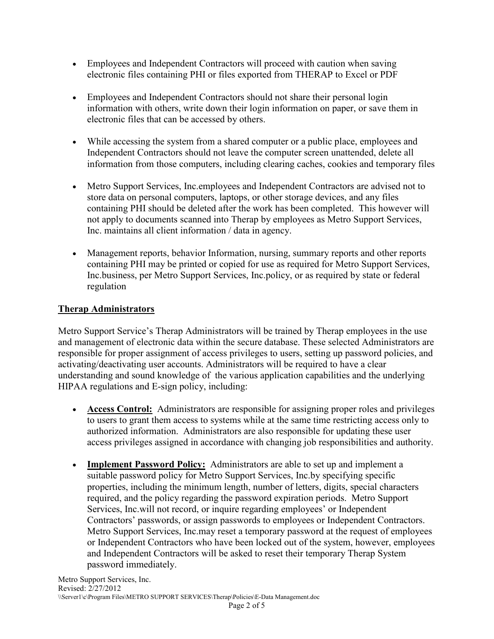- Employees and Independent Contractors will proceed with caution when saving electronic files containing PHI or files exported from THERAP to Excel or PDF
- Employees and Independent Contractors should not share their personal login information with others, write down their login information on paper, or save them in electronic files that can be accessed by others.
- While accessing the system from a shared computer or a public place, employees and Independent Contractors should not leave the computer screen unattended, delete all information from those computers, including clearing caches, cookies and temporary files
- Metro Support Services, Inc.employees and Independent Contractors are advised not to store data on personal computers, laptops, or other storage devices, and any files containing PHI should be deleted after the work has been completed. This however will not apply to documents scanned into Therap by employees as Metro Support Services, Inc. maintains all client information / data in agency.
- Management reports, behavior Information, nursing, summary reports and other reports containing PHI may be printed or copied for use as required for Metro Support Services, Inc.business, per Metro Support Services, Inc.policy, or as required by state or federal regulation

# **Therap Administrators**

Metro Support Service's Therap Administrators will be trained by Therap employees in the use and management of electronic data within the secure database. These selected Administrators are responsible for proper assignment of access privileges to users, setting up password policies, and activating/deactivating user accounts. Administrators will be required to have a clear understanding and sound knowledge of the various application capabilities and the underlying HIPAA regulations and E-sign policy, including:

- **Access Control:** Administrators are responsible for assigning proper roles and privileges to users to grant them access to systems while at the same time restricting access only to authorized information. Administrators are also responsible for updating these user access privileges assigned in accordance with changing job responsibilities and authority.
- **Implement Password Policy:** Administrators are able to set up and implement a suitable password policy for Metro Support Services, Inc.by specifying specific properties, including the minimum length, number of letters, digits, special characters required, and the policy regarding the password expiration periods. Metro Support Services, Inc.will not record, or inquire regarding employees' or Independent Contractors' passwords, or assign passwords to employees or Independent Contractors. Metro Support Services, Inc.may reset a temporary password at the request of employees or Independent Contractors who have been locked out of the system, however, employees and Independent Contractors will be asked to reset their temporary Therap System password immediately.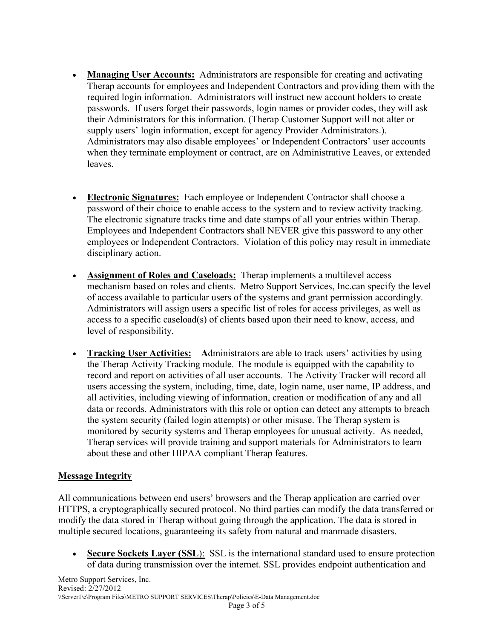- **Managing User Accounts:** Administrators are responsible for creating and activating Therap accounts for employees and Independent Contractors and providing them with the required login information. Administrators will instruct new account holders to create passwords. If users forget their passwords, login names or provider codes, they will ask their Administrators for this information. (Therap Customer Support will not alter or supply users' login information, except for agency Provider Administrators.). Administrators may also disable employees' or Independent Contractors' user accounts when they terminate employment or contract, are on Administrative Leaves, or extended leaves.
- **Electronic Signatures:** Each employee or Independent Contractor shall choose a password of their choice to enable access to the system and to review activity tracking. The electronic signature tracks time and date stamps of all your entries within Therap. Employees and Independent Contractors shall NEVER give this password to any other employees or Independent Contractors. Violation of this policy may result in immediate disciplinary action.
- **Assignment of Roles and Caseloads:** Therap implements a multilevel access mechanism based on roles and clients. Metro Support Services, Inc.can specify the level of access available to particular users of the systems and grant permission accordingly. Administrators will assign users a specific list of roles for access privileges, as well as access to a specific caseload(s) of clients based upon their need to know, access, and level of responsibility.
- **Tracking User Activities:** Administrators are able to track users' activities by using the Therap Activity Tracking module. The module is equipped with the capability to record and report on activities of all user accounts. The Activity Tracker will record all users accessing the system, including, time, date, login name, user name, IP address, and all activities, including viewing of information, creation or modification of any and all data or records. Administrators with this role or option can detect any attempts to breach the system security (failed login attempts) or other misuse. The Therap system is monitored by security systems and Therap employees for unusual activity. As needed, Therap services will provide training and support materials for Administrators to learn about these and other HIPAA compliant Therap features.

## **Message Integrity**

All communications between end users' browsers and the Therap application are carried over HTTPS, a cryptographically secured protocol. No third parties can modify the data transferred or modify the data stored in Therap without going through the application. The data is stored in multiple secured locations, guaranteeing its safety from natural and manmade disasters.

• **Secure Sockets Layer (SSL)**: SSL is the international standard used to ensure protection of data during transmission over the internet. SSL provides endpoint authentication and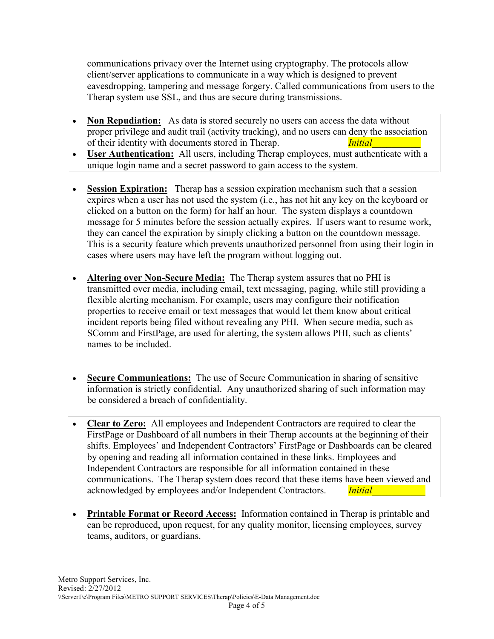communications privacy over the Internet using cryptography. The protocols allow client/server applications to communicate in a way which is designed to prevent eavesdropping, tampering and message forgery. Called communications from users to the Therap system use SSL, and thus are secure during transmissions.

- **Non Repudiation:** As data is stored securely no users can access the data without proper privilege and audit trail (activity tracking), and no users can deny the association of their identity with documents stored in Therap. *Initial*
- **User Authentication:** All users, including Therap employees, must authenticate with a unique login name and a secret password to gain access to the system.
- **Session Expiration:** Therap has a session expiration mechanism such that a session expires when a user has not used the system (i.e., has not hit any key on the keyboard or clicked on a button on the form) for half an hour. The system displays a countdown message for 5 minutes before the session actually expires. If users want to resume work, they can cancel the expiration by simply clicking a button on the countdown message. This is a security feature which prevents unauthorized personnel from using their login in cases where users may have left the program without logging out.
- **Altering over Non-Secure Media:** The Therap system assures that no PHI is transmitted over media, including email, text messaging, paging, while still providing a flexible alerting mechanism. For example, users may configure their notification properties to receive email or text messages that would let them know about critical incident reports being filed without revealing any PHI. When secure media, such as SComm and FirstPage, are used for alerting, the system allows PHI, such as clients' names to be included.
- **Secure Communications:** The use of Secure Communication in sharing of sensitive information is strictly confidential. Any unauthorized sharing of such information may be considered a breach of confidentiality.
- **Clear to Zero:** All employees and Independent Contractors are required to clear the FirstPage or Dashboard of all numbers in their Therap accounts at the beginning of their shifts. Employees' and Independent Contractors' FirstPage or Dashboards can be cleared by opening and reading all information contained in these links. Employees and Independent Contractors are responsible for all information contained in these communications. The Therap system does record that these items have been viewed and acknowledged by employees and/or Independent Contractors. *Initial*
- **Printable Format or Record Access:** Information contained in Therap is printable and can be reproduced, upon request, for any quality monitor, licensing employees, survey teams, auditors, or guardians.